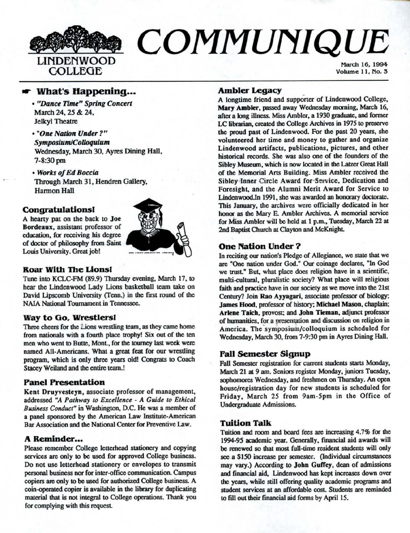

# $\boldsymbol{COMM}$ UNIQUE

COLLEGE Volume 11, No. 3

# $\bullet$  What's Happening...

- *"Dance Time" Spring Concert*  March 24, 25 & 24, Jelkyl Theatre
- "One Nallbn *Under?"*  **Symposium/Colloquium**  Wednesday, March 30, Ayres Dining Hall, 7-8:30pm
- *Works of Ed Boccia*  Through March 31, Hendren Gallery, Harmon Hall

# **Congratulationsl**

A hearty pat on the back to **Joe Bordeaux,** assistant professor of education, for receiving his degree of doccor of philosophy from Saint Louis University. Great job!



## **Roar With The Lions!**

Tune into KCLC-FM (89.9) Thursday evening, March 17, to hear the Lindenwood Lady Lions basketball team take on David Lipscomb University (Tenn.) in the first round of the NAIA National Tournament in Tennessee.

## **Way to Go, Wrestlersl**

Three cheers for the Lions wrestling team, as they came home from nationals with a fourth place trophy! Six out of the ten men who went to Butte, Mont, for the tourney last week were named All-Americans. What a great feat for our wrestling program, which is only three years oldl Congrats to Coach Stacey Weiland and the entire team.!

# **Panel Presentation**

**Kent Druyvesteyn,** associate professor of management. addressed HA *Pathway to Excellence* - *A Guide to Ethical Business Conduct"* in Washington, D.C. He was a member of a panel sponsored by the American Law Institute-American Bar Association and the National Center for Preventive Law.

# **A Reminder •••**

Please remember College letterhead stationery and copying services are only to be used for approved College business. Do not use letterhead stationery or envelopes to transmit personal business nor for inter-office communication. Campus copiers are only to be used for authorized College business. A coin-operaled copier is available in the library for duplicating material that is not integral to College operations. Thank you for complying with this request

### Ambler Legacy

A longtime friend and supporter of Lindenwood College, Mary Ambler, passed away Wednesday morning, March 16, after a long illness. Miss Ambler, a 1930 graduate, and former LC librarian, created the College Archives in 1975 to preserve the proud past of Lindenwood. For the past 20 years, she volunteered her time and money to gather and organize Lindenwood artifacts, publications, pictures, and other historical records. She was also one of the founders of the Sibley Museum, which is now located in the Latzer Great Hall of the Memorial Arts Building. Miss Ambler received the Sibley Inner Circle Award for Service, Dedication and Foresight, and the Alumni Merit Award for Service to Lindenwood.In 1991, she was awarded an honorary doctorate. This January, the archives were officially dedicated in her honor as the Mary E. Ambler Archives. A memorial service for Miss Ambler will be held at 1 p.m., Tuesday, March 22 at **2nd Baptist** Chwch at Clayton and McKnighL

# **One Nation Under** ?

In reciting our nation's Pledge of Allegiance, we state that we are "One nation under God." Our coinage declares, "In God we trust." But, what place does religion have in a scientific, multi-cultural, pluralistic society? What place will religious faith **and practice** have in our society as we move into the 21st Century? Join **Rao Ayyagari.** associate professor of biology; **James Hood,** professor of history; **Michael Mason,** chaplain; Arlene Taich, provost; and **John Tieman**, adjunct professor of humanities, for a presentation and discussion on religion in America. The symposium/colloquium is scheduled for Wednesday, March 30, from 7-9:30 pm in Ayres Dining Hall.

## **Fall Semester Signup**

Fall Semester registration for current students starts Monday, March 21 at 9 am. Seniors register Monday, juniors Tuesday, sophomores Wednesday, and freshmen on Thursday. An open house/registration day for new students is scheduled for Friday, March 25 from 9am-5pm in the Office of Undergraduate Admissions.

### **Tuition Talk**

Tuition and room and board fees are increasing 4.7% for the 1994-95 academic year. Generally, financial aid awards will **be renewed** so that most full-time resident students will only see a \$150 increase per semester. (Individual circumstances may vary.) According to **John Guffey,** dean of admissions and financial aid, Lindenwood has kept increases down over the years, while still offering quality academic programs and student services at an affordable cost. Students are reminded to fill out their financial aid forms by April 15.